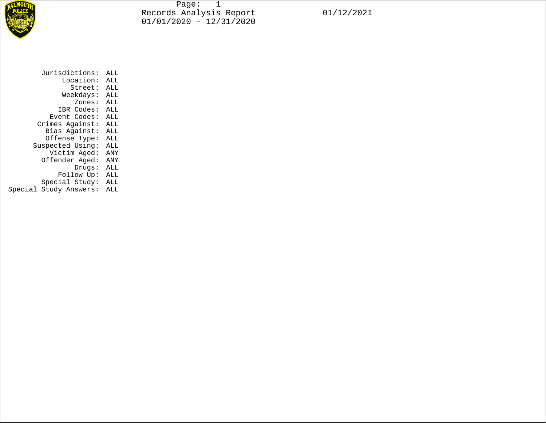

Page: 1 Records Analysis Report 01/12/2021 01/01/2020 - 12/31/2020

| Jurisdictions:         | ALL |  |  |  |
|------------------------|-----|--|--|--|
| Location:              | ALL |  |  |  |
| Street:                | ALL |  |  |  |
| Weekdays:              | ALL |  |  |  |
| Zones:                 | ALL |  |  |  |
| IBR Codes:             | ALL |  |  |  |
| Event Codes:           | ALL |  |  |  |
| Crimes Against:        | ALL |  |  |  |
| Bias Against:          | ALL |  |  |  |
| Offense Type:          | ALL |  |  |  |
| Suspected Using:       | ALL |  |  |  |
| Victim Aged:           | ANY |  |  |  |
| Offender Aged:         | ANY |  |  |  |
| Drugs:                 | ALL |  |  |  |
| Follow Up:             | ALL |  |  |  |
| Special Study:         | ALL |  |  |  |
| Special Study Answers: | ALL |  |  |  |